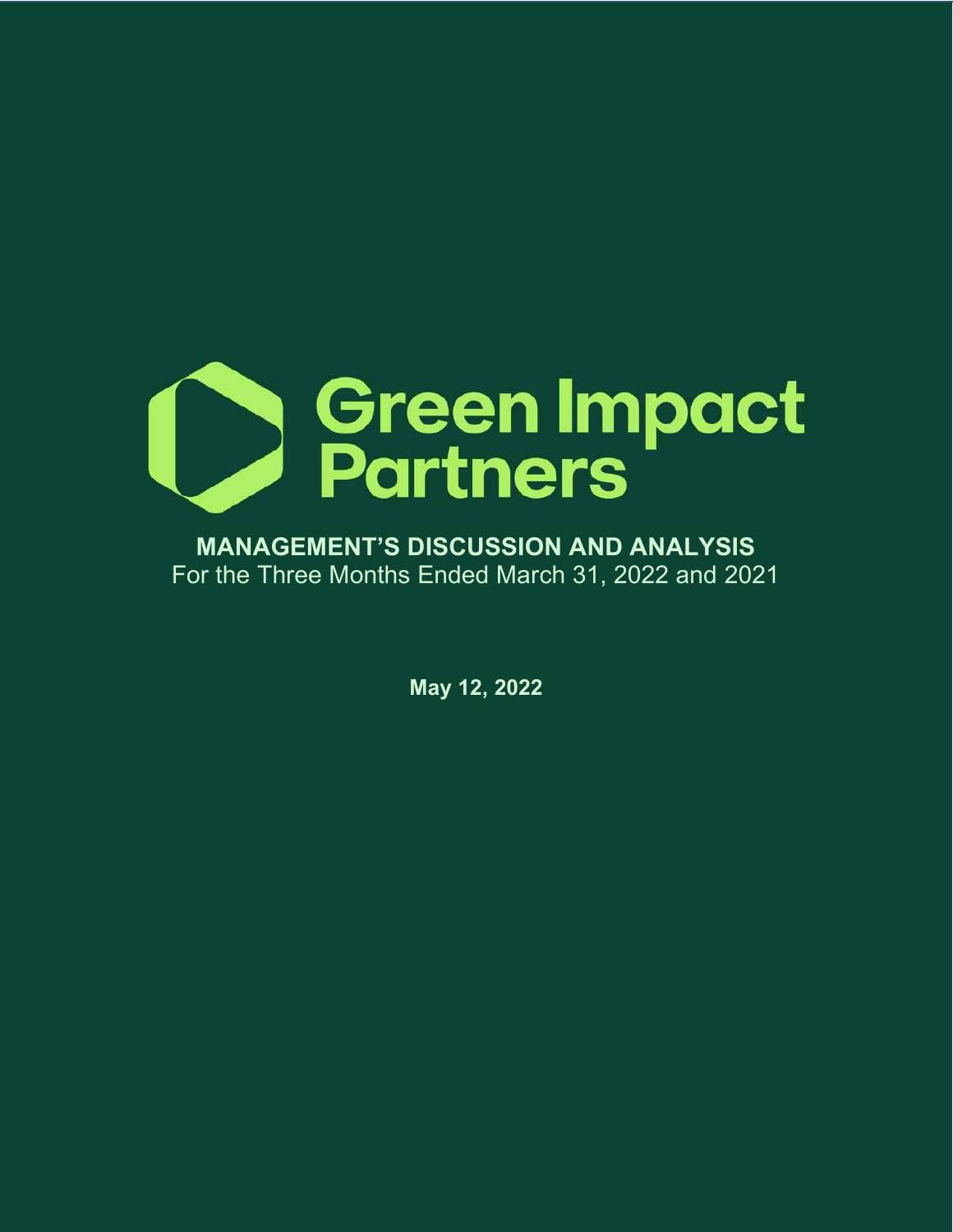

MANAGEMENT'S DISCUSSION AND ANALYSIS For the Three Months Ended March 31, 2022 and 2021

May 12, 2022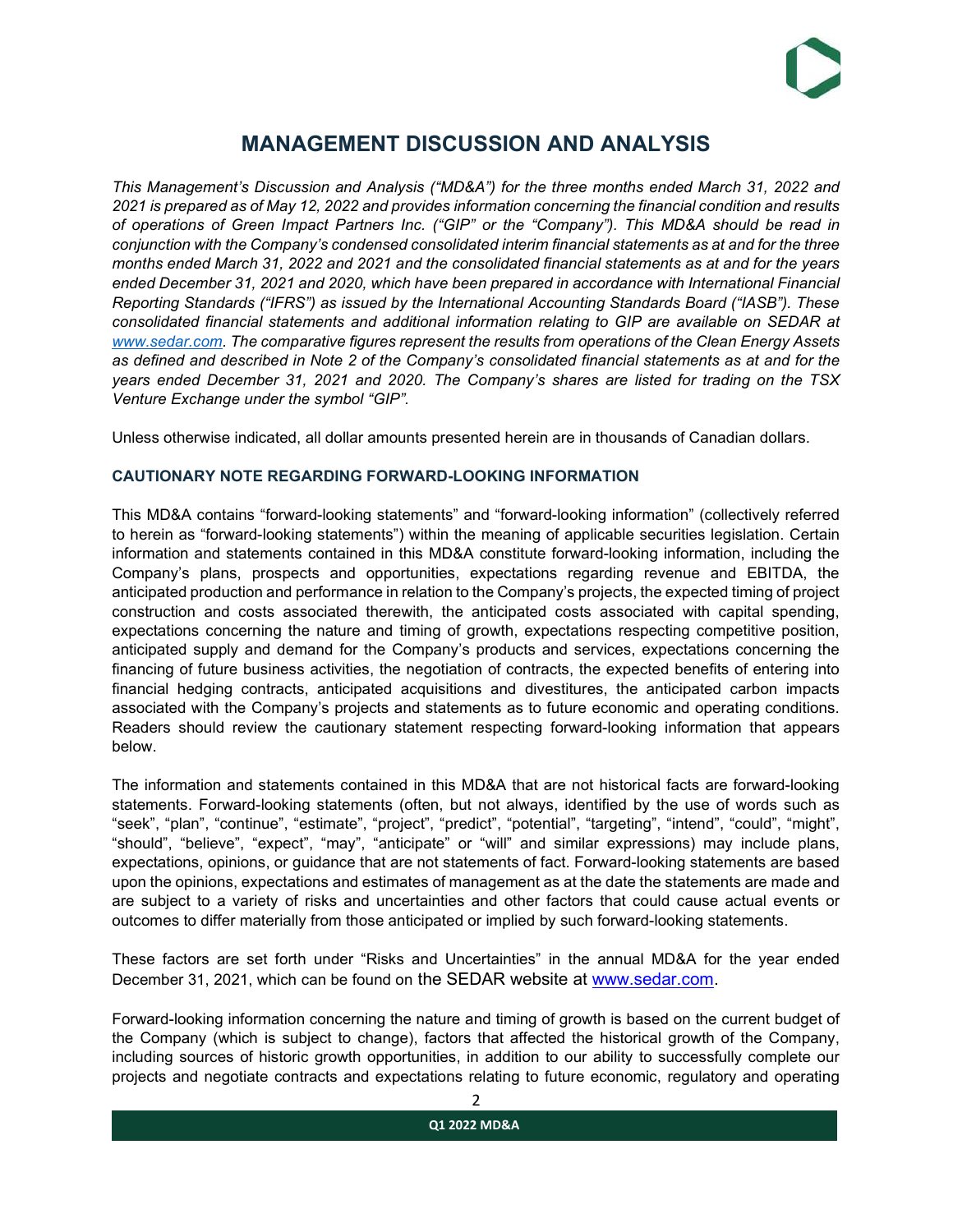

# MANAGEMENT DISCUSSION AND ANALYSIS

This Management's Discussion and Analysis ("MD&A") for the three months ended March 31, 2022 and 2021 is prepared as of May 12, 2022 and provides information concerning the financial condition and results of operations of Green Impact Partners Inc. ("GIP" or the "Company"). This MD&A should be read in conjunction with the Company's condensed consolidated interim financial statements as at and for the three months ended March 31, 2022 and 2021 and the consolidated financial statements as at and for the years ended December 31, 2021 and 2020, which have been prepared in accordance with International Financial Reporting Standards ("IFRS") as issued by the International Accounting Standards Board ("IASB"). These consolidated financial statements and additional information relating to GIP are available on SEDAR at www.sedar.com. The comparative figures represent the results from operations of the Clean Energy Assets as defined and described in Note 2 of the Company's consolidated financial statements as at and for the years ended December 31, 2021 and 2020. The Company's shares are listed for trading on the TSX Venture Exchange under the symbol "GIP".

Unless otherwise indicated, all dollar amounts presented herein are in thousands of Canadian dollars.

# CAUTIONARY NOTE REGARDING FORWARD-LOOKING INFORMATION

This MD&A contains "forward-looking statements" and "forward-looking information" (collectively referred to herein as "forward-looking statements") within the meaning of applicable securities legislation. Certain information and statements contained in this MD&A constitute forward-looking information, including the Company's plans, prospects and opportunities, expectations regarding revenue and EBITDA, the anticipated production and performance in relation to the Company's projects, the expected timing of project construction and costs associated therewith, the anticipated costs associated with capital spending, expectations concerning the nature and timing of growth, expectations respecting competitive position, anticipated supply and demand for the Company's products and services, expectations concerning the financing of future business activities, the negotiation of contracts, the expected benefits of entering into financial hedging contracts, anticipated acquisitions and divestitures, the anticipated carbon impacts associated with the Company's projects and statements as to future economic and operating conditions. Readers should review the cautionary statement respecting forward-looking information that appears below.

The information and statements contained in this MD&A that are not historical facts are forward-looking statements. Forward-looking statements (often, but not always, identified by the use of words such as "seek", "plan", "continue", "estimate", "project", "predict", "potential", "targeting", "intend", "could", "might", "should", "believe", "expect", "may", "anticipate" or "will" and similar expressions) may include plans, expectations, opinions, or guidance that are not statements of fact. Forward-looking statements are based upon the opinions, expectations and estimates of management as at the date the statements are made and are subject to a variety of risks and uncertainties and other factors that could cause actual events or outcomes to differ materially from those anticipated or implied by such forward-looking statements.

These factors are set forth under "Risks and Uncertainties" in the annual MD&A for the year ended December 31, 2021, which can be found on the SEDAR website at www.sedar.com.

Forward-looking information concerning the nature and timing of growth is based on the current budget of the Company (which is subject to change), factors that affected the historical growth of the Company, including sources of historic growth opportunities, in addition to our ability to successfully complete our projects and negotiate contracts and expectations relating to future economic, regulatory and operating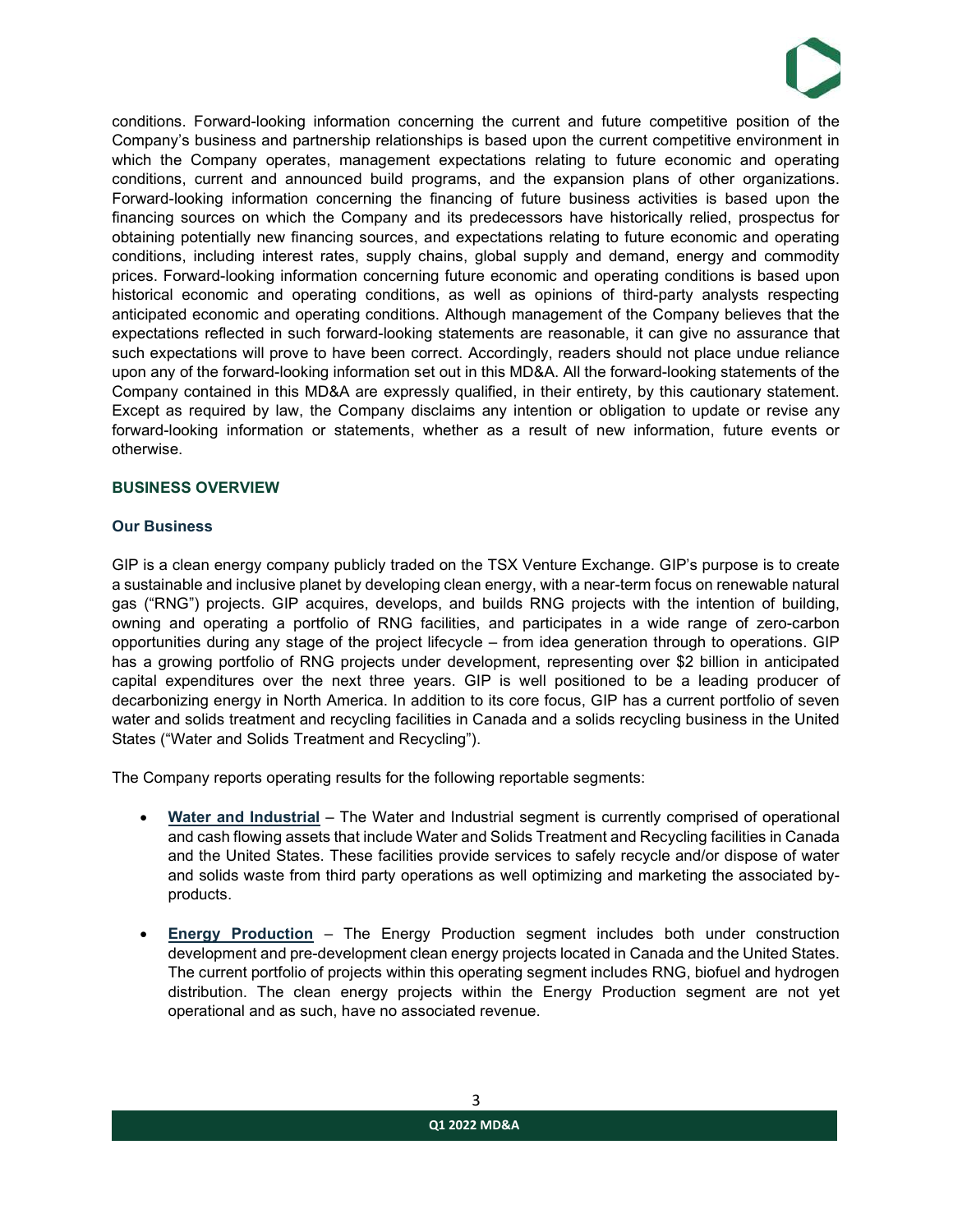

conditions. Forward-looking information concerning the current and future competitive position of the Company's business and partnership relationships is based upon the current competitive environment in which the Company operates, management expectations relating to future economic and operating conditions, current and announced build programs, and the expansion plans of other organizations. Forward-looking information concerning the financing of future business activities is based upon the financing sources on which the Company and its predecessors have historically relied, prospectus for obtaining potentially new financing sources, and expectations relating to future economic and operating conditions, including interest rates, supply chains, global supply and demand, energy and commodity prices. Forward-looking information concerning future economic and operating conditions is based upon historical economic and operating conditions, as well as opinions of third-party analysts respecting anticipated economic and operating conditions. Although management of the Company believes that the expectations reflected in such forward-looking statements are reasonable, it can give no assurance that such expectations will prove to have been correct. Accordingly, readers should not place undue reliance upon any of the forward-looking information set out in this MD&A. All the forward-looking statements of the Company contained in this MD&A are expressly qualified, in their entirety, by this cautionary statement. Except as required by law, the Company disclaims any intention or obligation to update or revise any forward-looking information or statements, whether as a result of new information, future events or otherwise.

# BUSINESS OVERVIEW

#### Our Business

GIP is a clean energy company publicly traded on the TSX Venture Exchange. GIP's purpose is to create a sustainable and inclusive planet by developing clean energy, with a near-term focus on renewable natural gas ("RNG") projects. GIP acquires, develops, and builds RNG projects with the intention of building, owning and operating a portfolio of RNG facilities, and participates in a wide range of zero-carbon opportunities during any stage of the project lifecycle – from idea generation through to operations. GIP has a growing portfolio of RNG projects under development, representing over \$2 billion in anticipated capital expenditures over the next three years. GIP is well positioned to be a leading producer of decarbonizing energy in North America. In addition to its core focus, GIP has a current portfolio of seven water and solids treatment and recycling facilities in Canada and a solids recycling business in the United States ("Water and Solids Treatment and Recycling").

The Company reports operating results for the following reportable segments:

- Water and Industrial The Water and Industrial segment is currently comprised of operational and cash flowing assets that include Water and Solids Treatment and Recycling facilities in Canada and the United States. These facilities provide services to safely recycle and/or dispose of water and solids waste from third party operations as well optimizing and marketing the associated byproducts.
- Energy Production The Energy Production segment includes both under construction development and pre-development clean energy projects located in Canada and the United States. The current portfolio of projects within this operating segment includes RNG, biofuel and hydrogen distribution. The clean energy projects within the Energy Production segment are not yet operational and as such, have no associated revenue.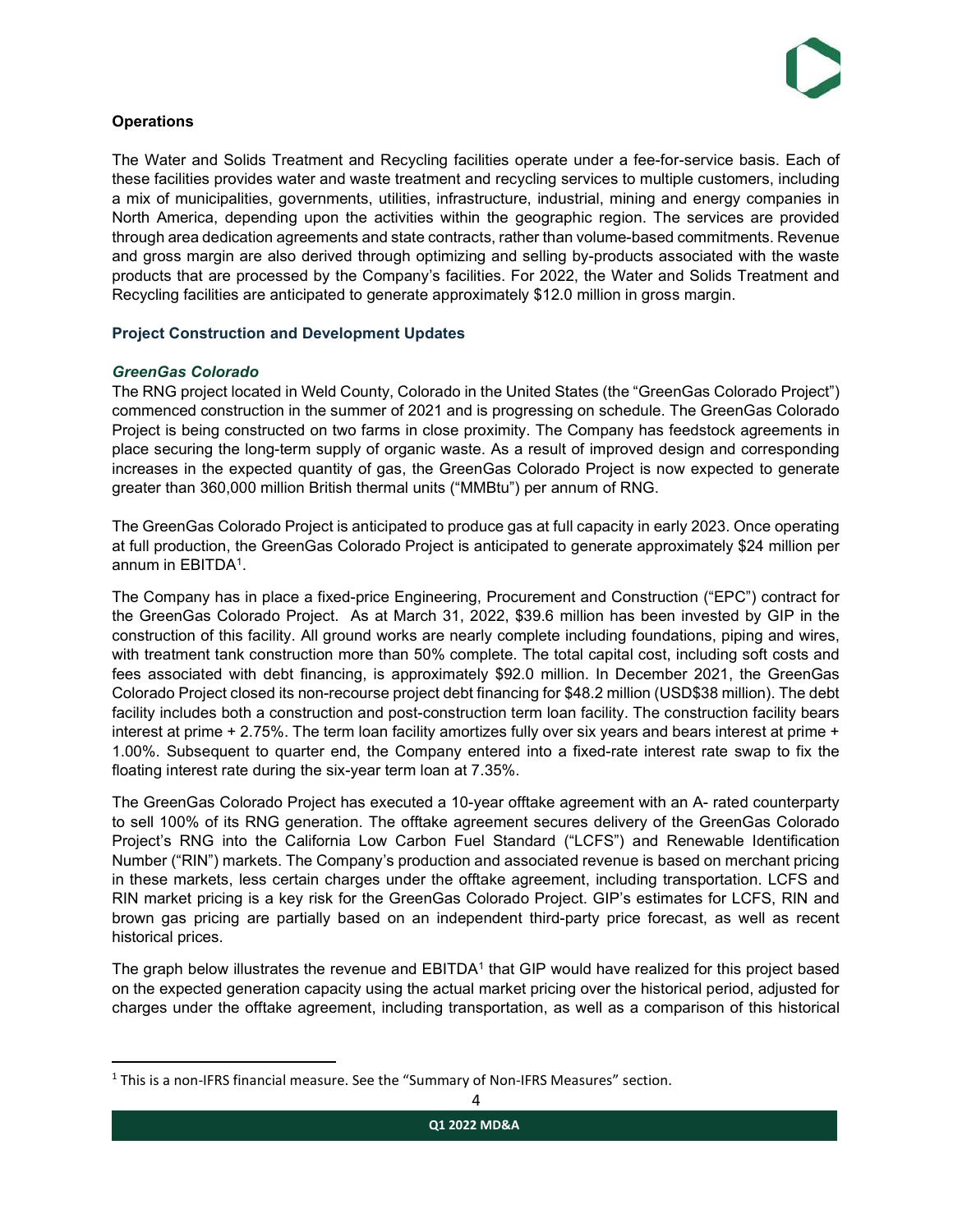

# **Operations**

The Water and Solids Treatment and Recycling facilities operate under a fee-for-service basis. Each of these facilities provides water and waste treatment and recycling services to multiple customers, including a mix of municipalities, governments, utilities, infrastructure, industrial, mining and energy companies in North America, depending upon the activities within the geographic region. The services are provided through area dedication agreements and state contracts, rather than volume-based commitments. Revenue and gross margin are also derived through optimizing and selling by-products associated with the waste products that are processed by the Company's facilities. For 2022, the Water and Solids Treatment and Recycling facilities are anticipated to generate approximately \$12.0 million in gross margin.

# Project Construction and Development Updates

# GreenGas Colorado

The RNG project located in Weld County, Colorado in the United States (the "GreenGas Colorado Project") commenced construction in the summer of 2021 and is progressing on schedule. The GreenGas Colorado Project is being constructed on two farms in close proximity. The Company has feedstock agreements in place securing the long-term supply of organic waste. As a result of improved design and corresponding increases in the expected quantity of gas, the GreenGas Colorado Project is now expected to generate greater than 360,000 million British thermal units ("MMBtu") per annum of RNG.

The GreenGas Colorado Project is anticipated to produce gas at full capacity in early 2023. Once operating at full production, the GreenGas Colorado Project is anticipated to generate approximately \$24 million per annum in EBITDA<sup>1</sup> .

The Company has in place a fixed-price Engineering, Procurement and Construction ("EPC") contract for the GreenGas Colorado Project. As at March 31, 2022, \$39.6 million has been invested by GIP in the construction of this facility. All ground works are nearly complete including foundations, piping and wires, with treatment tank construction more than 50% complete. The total capital cost, including soft costs and fees associated with debt financing, is approximately \$92.0 million. In December 2021, the GreenGas Colorado Project closed its non-recourse project debt financing for \$48.2 million (USD\$38 million). The debt facility includes both a construction and post-construction term loan facility. The construction facility bears interest at prime + 2.75%. The term loan facility amortizes fully over six years and bears interest at prime + 1.00%. Subsequent to quarter end, the Company entered into a fixed-rate interest rate swap to fix the floating interest rate during the six-year term loan at 7.35%.

The GreenGas Colorado Project has executed a 10-year offtake agreement with an A- rated counterparty to sell 100% of its RNG generation. The offtake agreement secures delivery of the GreenGas Colorado Project's RNG into the California Low Carbon Fuel Standard ("LCFS") and Renewable Identification Number ("RIN") markets. The Company's production and associated revenue is based on merchant pricing in these markets, less certain charges under the offtake agreement, including transportation. LCFS and RIN market pricing is a key risk for the GreenGas Colorado Project. GIP's estimates for LCFS, RIN and brown gas pricing are partially based on an independent third-party price forecast, as well as recent historical prices.

The graph below illustrates the revenue and  $\mathsf{EBITDA}^1$  that GIP would have realized for this project based on the expected generation capacity using the actual market pricing over the historical period, adjusted for charges under the offtake agreement, including transportation, as well as a comparison of this historical

<sup>&</sup>lt;sup>1</sup> This is a non-IFRS financial measure. See the "Summary of Non-IFRS Measures" section.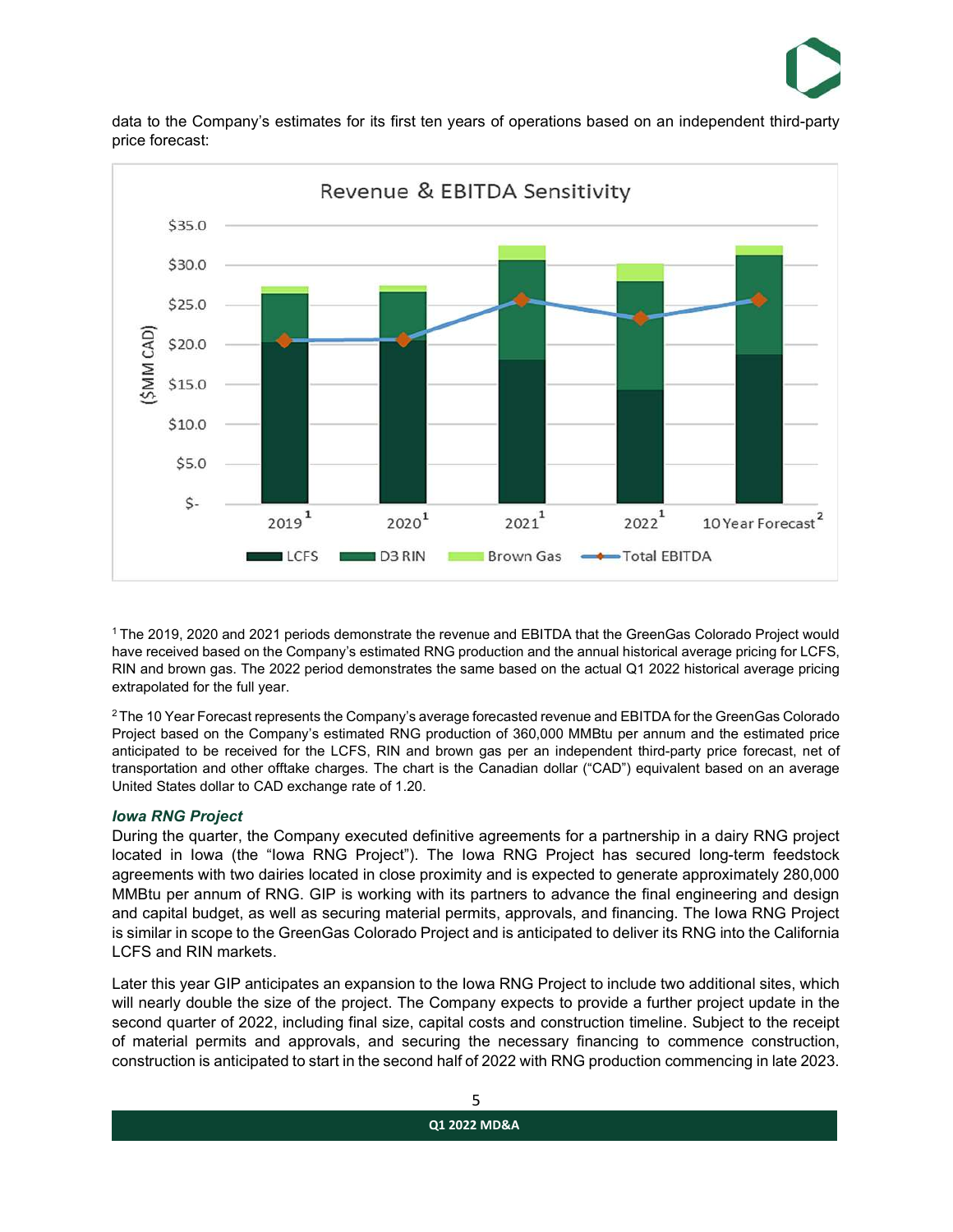

data to the Company's estimates for its first ten years of operations based on an independent third-party price forecast:



<sup>1</sup>The 2019, 2020 and 2021 periods demonstrate the revenue and EBITDA that the GreenGas Colorado Project would have received based on the Company's estimated RNG production and the annual historical average pricing for LCFS, RIN and brown gas. The 2022 period demonstrates the same based on the actual Q1 2022 historical average pricing extrapolated for the full year.

<sup>2</sup> The 10 Year Forecast represents the Company's average forecasted revenue and EBITDA for the GreenGas Colorado Project based on the Company's estimated RNG production of 360,000 MMBtu per annum and the estimated price anticipated to be received for the LCFS, RIN and brown gas per an independent third-party price forecast, net of transportation and other offtake charges. The chart is the Canadian dollar ("CAD") equivalent based on an average United States dollar to CAD exchange rate of 1.20.

# Iowa RNG Project

During the quarter, the Company executed definitive agreements for a partnership in a dairy RNG project located in Iowa (the "Iowa RNG Project"). The Iowa RNG Project has secured long-term feedstock agreements with two dairies located in close proximity and is expected to generate approximately 280,000 MMBtu per annum of RNG. GIP is working with its partners to advance the final engineering and design and capital budget, as well as securing material permits, approvals, and financing. The Iowa RNG Project is similar in scope to the GreenGas Colorado Project and is anticipated to deliver its RNG into the California LCFS and RIN markets.

Later this year GIP anticipates an expansion to the Iowa RNG Project to include two additional sites, which will nearly double the size of the project. The Company expects to provide a further project update in the second quarter of 2022, including final size, capital costs and construction timeline. Subject to the receipt of material permits and approvals, and securing the necessary financing to commence construction, construction is anticipated to start in the second half of 2022 with RNG production commencing in late 2023.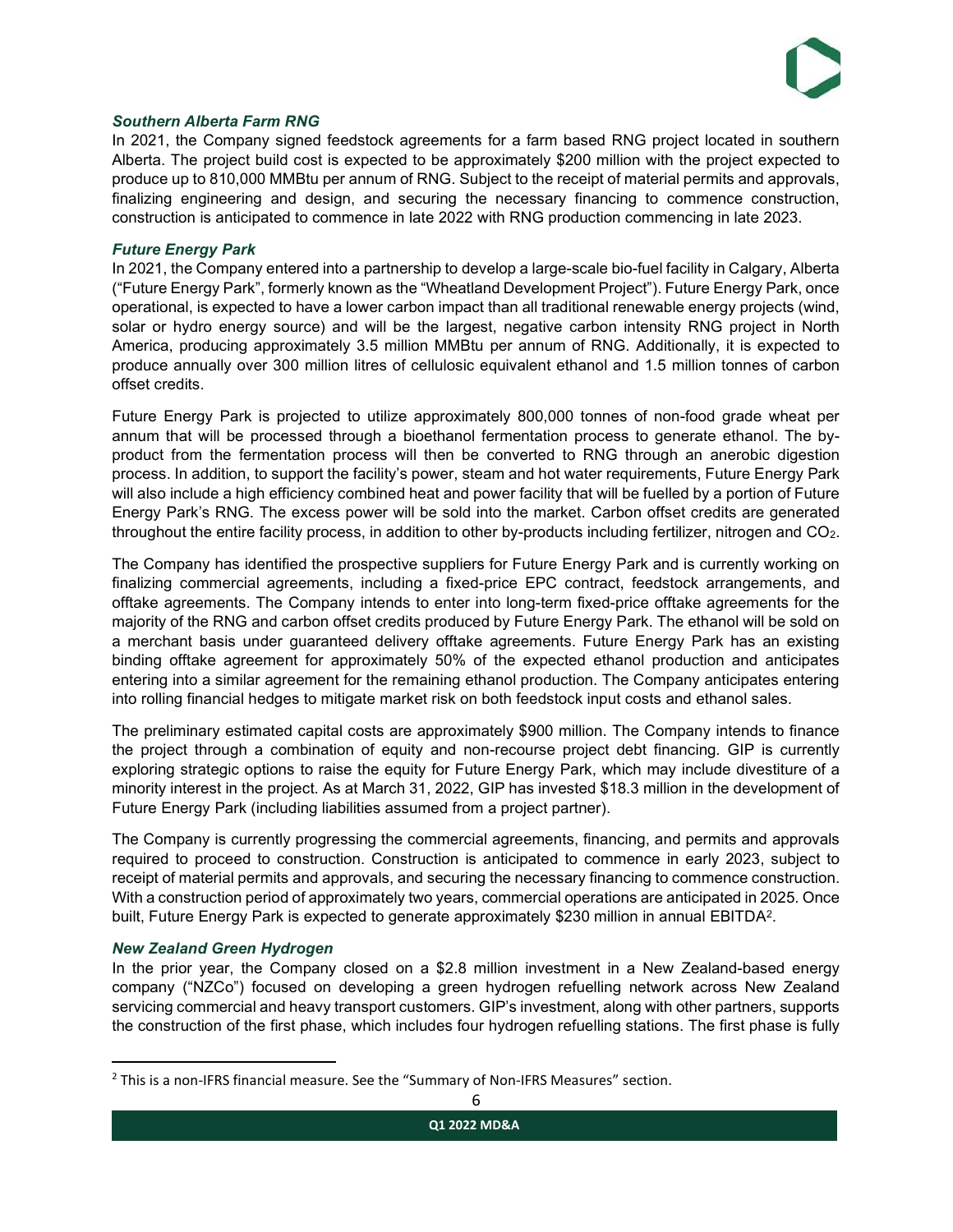

#### Southern Alberta Farm RNG

In 2021, the Company signed feedstock agreements for a farm based RNG project located in southern Alberta. The project build cost is expected to be approximately \$200 million with the project expected to produce up to 810,000 MMBtu per annum of RNG. Subject to the receipt of material permits and approvals, finalizing engineering and design, and securing the necessary financing to commence construction, construction is anticipated to commence in late 2022 with RNG production commencing in late 2023.

# Future Energy Park

In 2021, the Company entered into a partnership to develop a large-scale bio-fuel facility in Calgary, Alberta ("Future Energy Park", formerly known as the "Wheatland Development Project"). Future Energy Park, once operational, is expected to have a lower carbon impact than all traditional renewable energy projects (wind, solar or hydro energy source) and will be the largest, negative carbon intensity RNG project in North America, producing approximately 3.5 million MMBtu per annum of RNG. Additionally, it is expected to produce annually over 300 million litres of cellulosic equivalent ethanol and 1.5 million tonnes of carbon offset credits.

Future Energy Park is projected to utilize approximately 800,000 tonnes of non-food grade wheat per annum that will be processed through a bioethanol fermentation process to generate ethanol. The byproduct from the fermentation process will then be converted to RNG through an anerobic digestion process. In addition, to support the facility's power, steam and hot water requirements, Future Energy Park will also include a high efficiency combined heat and power facility that will be fuelled by a portion of Future Energy Park's RNG. The excess power will be sold into the market. Carbon offset credits are generated throughout the entire facility process, in addition to other by-products including fertilizer, nitrogen and CO2.

The Company has identified the prospective suppliers for Future Energy Park and is currently working on finalizing commercial agreements, including a fixed-price EPC contract, feedstock arrangements, and offtake agreements. The Company intends to enter into long-term fixed-price offtake agreements for the majority of the RNG and carbon offset credits produced by Future Energy Park. The ethanol will be sold on a merchant basis under guaranteed delivery offtake agreements. Future Energy Park has an existing binding offtake agreement for approximately 50% of the expected ethanol production and anticipates entering into a similar agreement for the remaining ethanol production. The Company anticipates entering into rolling financial hedges to mitigate market risk on both feedstock input costs and ethanol sales.

The preliminary estimated capital costs are approximately \$900 million. The Company intends to finance the project through a combination of equity and non-recourse project debt financing. GIP is currently exploring strategic options to raise the equity for Future Energy Park, which may include divestiture of a minority interest in the project. As at March 31, 2022, GIP has invested \$18.3 million in the development of Future Energy Park (including liabilities assumed from a project partner).

The Company is currently progressing the commercial agreements, financing, and permits and approvals required to proceed to construction. Construction is anticipated to commence in early 2023, subject to receipt of material permits and approvals, and securing the necessary financing to commence construction. With a construction period of approximately two years, commercial operations are anticipated in 2025. Once built, Future Energy Park is expected to generate approximately \$230 million in annual EBITDA<sup>2</sup>.

#### New Zealand Green Hydrogen

In the prior year, the Company closed on a \$2.8 million investment in a New Zealand-based energy company ("NZCo") focused on developing a green hydrogen refuelling network across New Zealand servicing commercial and heavy transport customers. GIP's investment, along with other partners, supports the construction of the first phase, which includes four hydrogen refuelling stations. The first phase is fully

<sup>&</sup>lt;sup>2</sup> This is a non-IFRS financial measure. See the "Summary of Non-IFRS Measures" section.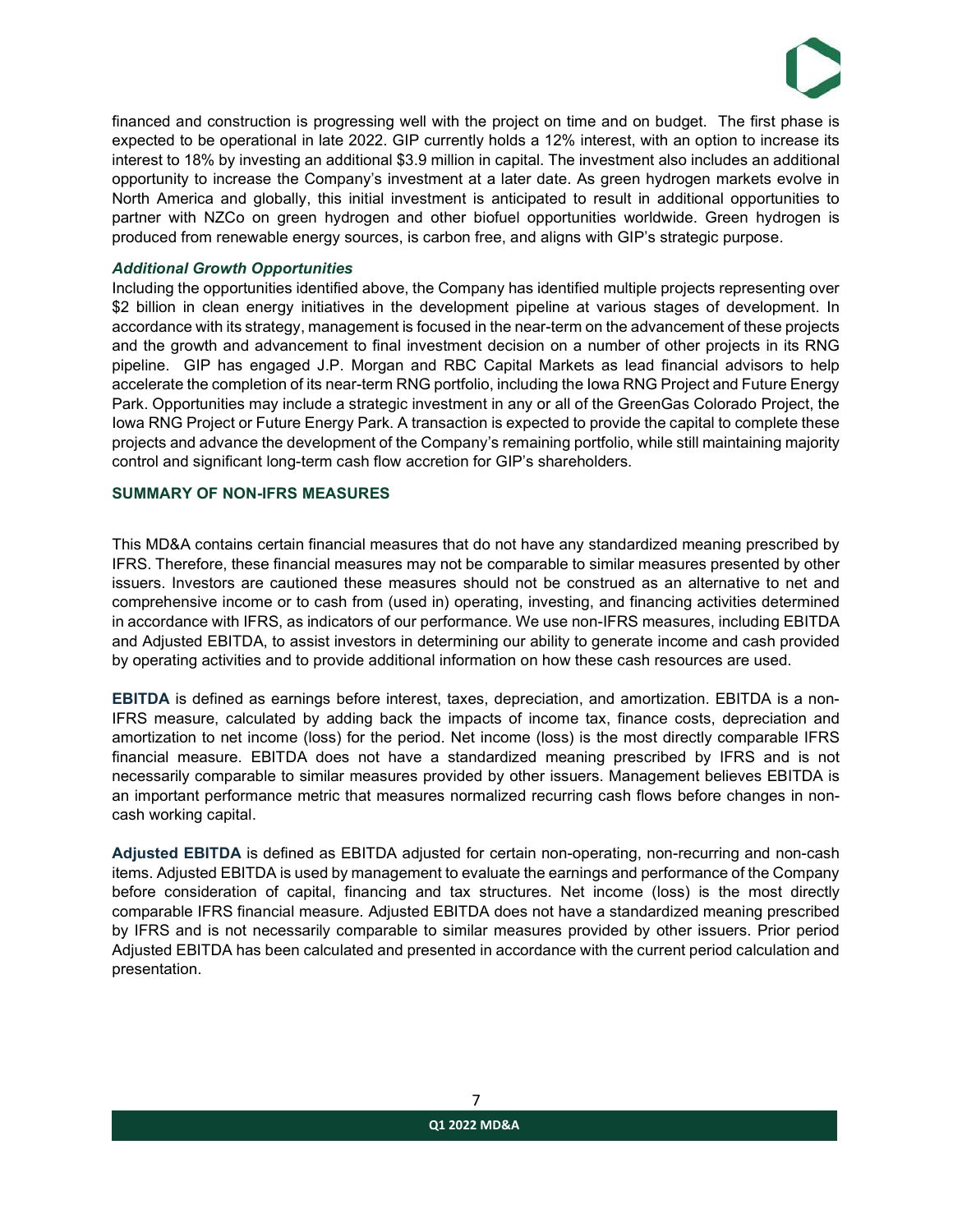

financed and construction is progressing well with the project on time and on budget. The first phase is expected to be operational in late 2022. GIP currently holds a 12% interest, with an option to increase its interest to 18% by investing an additional \$3.9 million in capital. The investment also includes an additional opportunity to increase the Company's investment at a later date. As green hydrogen markets evolve in North America and globally, this initial investment is anticipated to result in additional opportunities to partner with NZCo on green hydrogen and other biofuel opportunities worldwide. Green hydrogen is produced from renewable energy sources, is carbon free, and aligns with GIP's strategic purpose.

# Additional Growth Opportunities

Including the opportunities identified above, the Company has identified multiple projects representing over \$2 billion in clean energy initiatives in the development pipeline at various stages of development. In accordance with its strategy, management is focused in the near-term on the advancement of these projects and the growth and advancement to final investment decision on a number of other projects in its RNG pipeline. GIP has engaged J.P. Morgan and RBC Capital Markets as lead financial advisors to help accelerate the completion of its near-term RNG portfolio, including the Iowa RNG Project and Future Energy Park. Opportunities may include a strategic investment in any or all of the GreenGas Colorado Project, the Iowa RNG Project or Future Energy Park. A transaction is expected to provide the capital to complete these projects and advance the development of the Company's remaining portfolio, while still maintaining majority control and significant long-term cash flow accretion for GIP's shareholders.

#### SUMMARY OF NON-IFRS MEASURES

This MD&A contains certain financial measures that do not have any standardized meaning prescribed by IFRS. Therefore, these financial measures may not be comparable to similar measures presented by other issuers. Investors are cautioned these measures should not be construed as an alternative to net and comprehensive income or to cash from (used in) operating, investing, and financing activities determined in accordance with IFRS, as indicators of our performance. We use non-IFRS measures, including EBITDA and Adjusted EBITDA, to assist investors in determining our ability to generate income and cash provided by operating activities and to provide additional information on how these cash resources are used.

EBITDA is defined as earnings before interest, taxes, depreciation, and amortization. EBITDA is a non-IFRS measure, calculated by adding back the impacts of income tax, finance costs, depreciation and amortization to net income (loss) for the period. Net income (loss) is the most directly comparable IFRS financial measure. EBITDA does not have a standardized meaning prescribed by IFRS and is not necessarily comparable to similar measures provided by other issuers. Management believes EBITDA is an important performance metric that measures normalized recurring cash flows before changes in noncash working capital.

Adjusted EBITDA is defined as EBITDA adjusted for certain non-operating, non-recurring and non-cash items. Adjusted EBITDA is used by management to evaluate the earnings and performance of the Company before consideration of capital, financing and tax structures. Net income (loss) is the most directly comparable IFRS financial measure. Adjusted EBITDA does not have a standardized meaning prescribed by IFRS and is not necessarily comparable to similar measures provided by other issuers. Prior period Adjusted EBITDA has been calculated and presented in accordance with the current period calculation and presentation.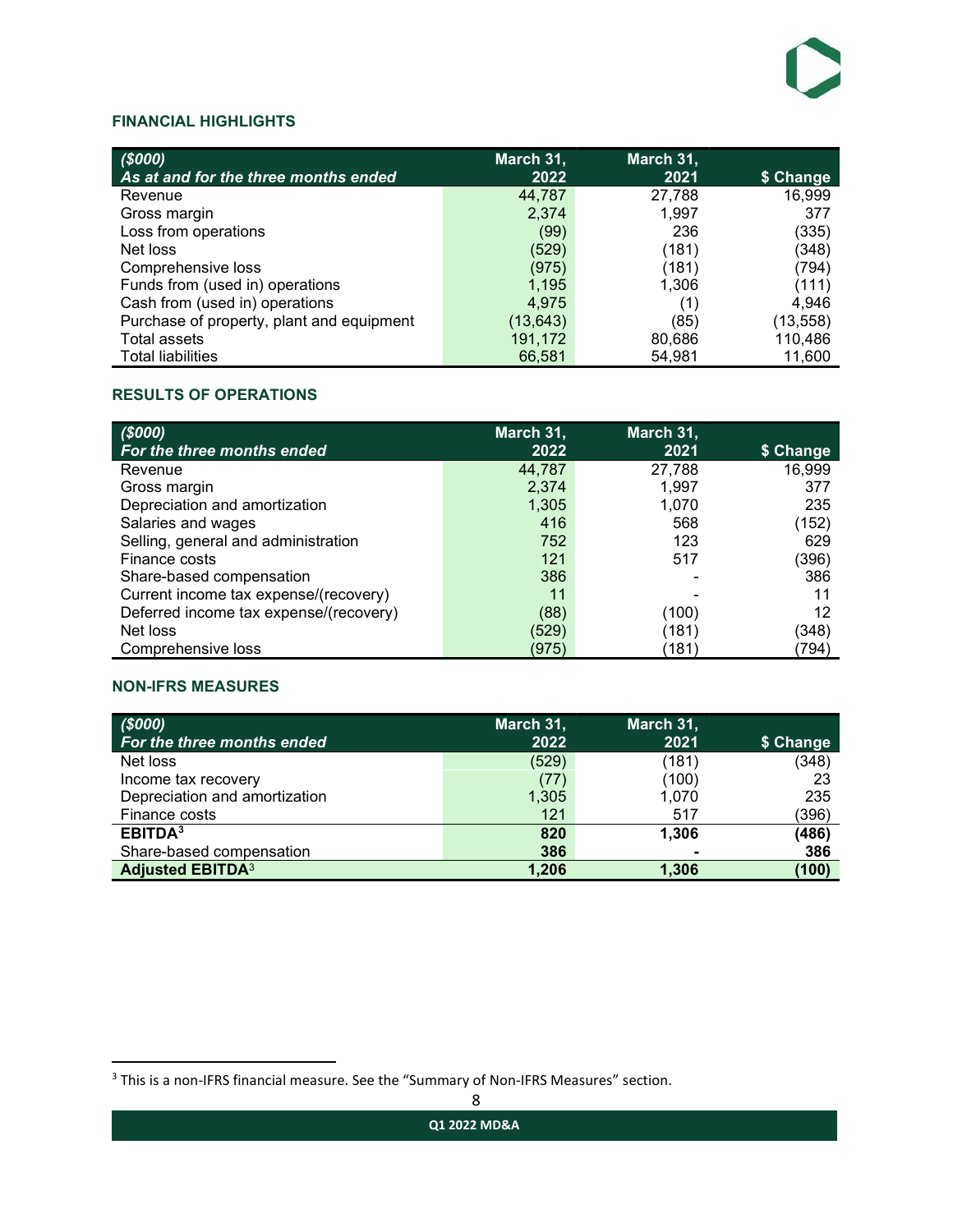# FINANCIAL HIGHLIGHTS

| (\$000)<br>As at and for the three months ended | March 31,<br>2022 | March 31,<br>2021 | \$ Change |
|-------------------------------------------------|-------------------|-------------------|-----------|
| Revenue                                         | 44,787            | 27,788            | 16,999    |
| Gross margin                                    | 2,374             | 1,997             | 377       |
| Loss from operations                            | (99)              | 236               | (335)     |
| Net loss                                        | (529)             | (181)             | (348)     |
| Comprehensive loss                              | (975)             | (181)             | (794)     |
| Funds from (used in) operations                 | 1,195             | 1,306             | (111)     |
| Cash from (used in) operations                  | 4,975             | (1)               | 4,946     |
| Purchase of property, plant and equipment       | (13, 643)         | (85)              | (13,558)  |
| Total assets                                    | 191,172           | 80,686            | 110,486   |
| <b>Total liabilities</b>                        | 66,581            | 54,981            | 11,600    |

# RESULTS OF OPERATIONS

| (\$000)                                | March 31, | March 31, |           |
|----------------------------------------|-----------|-----------|-----------|
| For the three months ended             | 2022      | 2021      | \$ Change |
| Revenue                                | 44,787    | 27,788    | 16,999    |
| Gross margin                           | 2,374     | 1,997     | 377       |
| Depreciation and amortization          | 1,305     | 1,070     | 235       |
| Salaries and wages                     | 416       | 568       | (152)     |
| Selling, general and administration    | 752       | 123       | 629       |
| Finance costs                          | 121       | 517       | (396)     |
| Share-based compensation               | 386       |           | 386       |
| Current income tax expense/(recovery)  | 11        |           | 11        |
| Deferred income tax expense/(recovery) | (88)      | (100)     | 12        |
| Net loss                               | (529)     | (181)     | (348)     |
| Comprehensive loss                     | (975)     | (181      | (794)     |

# NON-IFRS MEASURES

| (\$000)<br>For the three months ended | March 31,<br>2022 | March 31,<br>2021 | \$ Change |
|---------------------------------------|-------------------|-------------------|-----------|
| Net loss                              | (529)             | (181)             | (348)     |
| Income tax recovery                   | (77)              | (100)             | 23        |
| Depreciation and amortization         | 1,305             | 1,070             | 235       |
| Finance costs                         | 121               | 517               | (396)     |
| EBITDA <sup>3</sup>                   | 820               | 1,306             | (486)     |
| Share-based compensation              | 386               |                   | 386       |
| <b>Adjusted EBITDA3</b>               | 1.206             | 1,306             | (100)     |

<sup>&</sup>lt;sup>3</sup> This is a non-IFRS financial measure. See the "Summary of Non-IFRS Measures" section.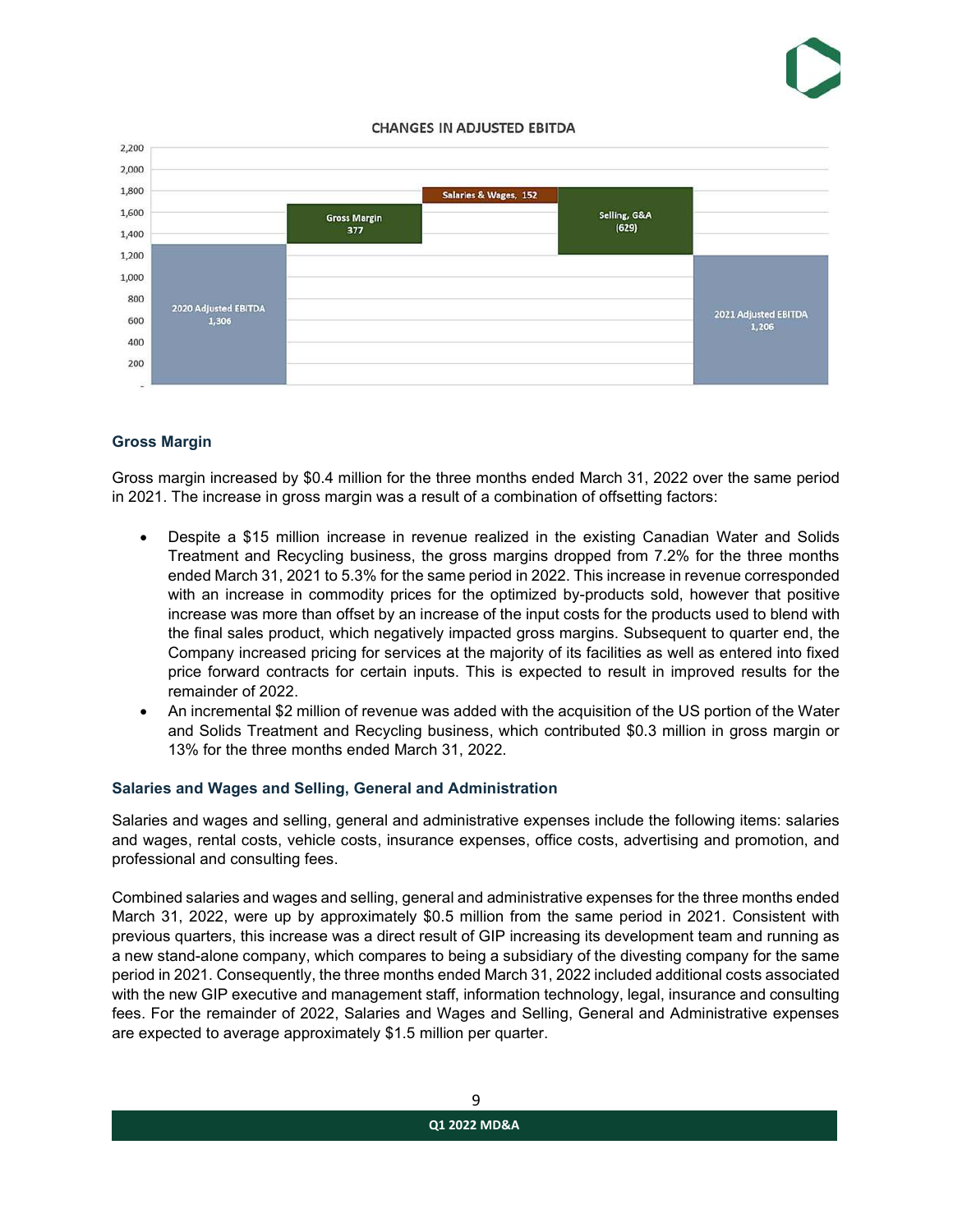**CHANGES IN ADJUSTED EBITDA** 



# Gross Margin

Gross margin increased by \$0.4 million for the three months ended March 31, 2022 over the same period in 2021. The increase in gross margin was a result of a combination of offsetting factors:

- Despite a \$15 million increase in revenue realized in the existing Canadian Water and Solids Treatment and Recycling business, the gross margins dropped from 7.2% for the three months ended March 31, 2021 to 5.3% for the same period in 2022. This increase in revenue corresponded with an increase in commodity prices for the optimized by-products sold, however that positive increase was more than offset by an increase of the input costs for the products used to blend with the final sales product, which negatively impacted gross margins. Subsequent to quarter end, the Company increased pricing for services at the majority of its facilities as well as entered into fixed price forward contracts for certain inputs. This is expected to result in improved results for the remainder of 2022.
- An incremental \$2 million of revenue was added with the acquisition of the US portion of the Water and Solids Treatment and Recycling business, which contributed \$0.3 million in gross margin or 13% for the three months ended March 31, 2022.

# Salaries and Wages and Selling, General and Administration

Salaries and wages and selling, general and administrative expenses include the following items: salaries and wages, rental costs, vehicle costs, insurance expenses, office costs, advertising and promotion, and professional and consulting fees.

Combined salaries and wages and selling, general and administrative expenses for the three months ended March 31, 2022, were up by approximately \$0.5 million from the same period in 2021. Consistent with previous quarters, this increase was a direct result of GIP increasing its development team and running as a new stand-alone company, which compares to being a subsidiary of the divesting company for the same period in 2021. Consequently, the three months ended March 31, 2022 included additional costs associated with the new GIP executive and management staff, information technology, legal, insurance and consulting fees. For the remainder of 2022, Salaries and Wages and Selling, General and Administrative expenses are expected to average approximately \$1.5 million per quarter.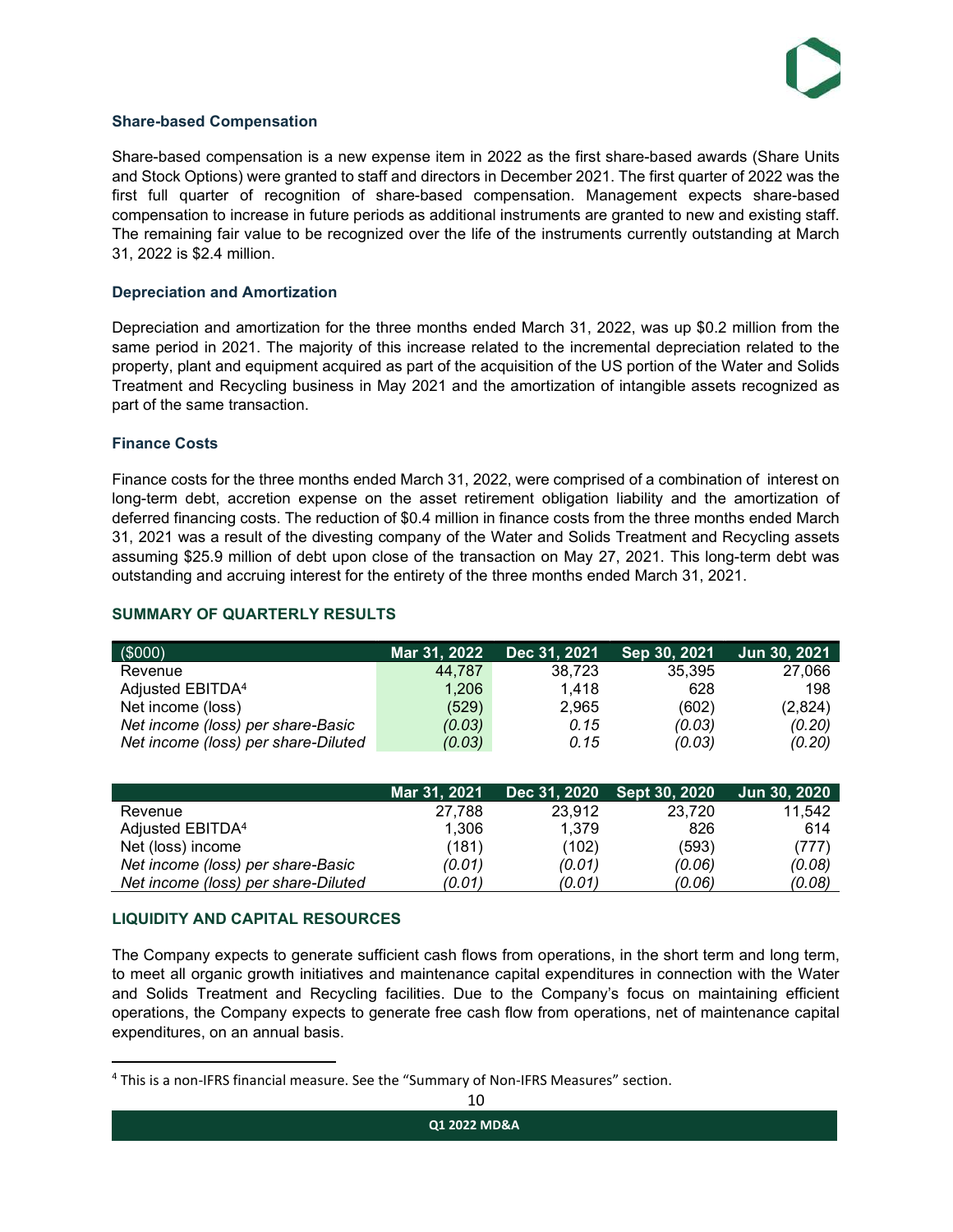

# Share-based Compensation

Share-based compensation is a new expense item in 2022 as the first share-based awards (Share Units and Stock Options) were granted to staff and directors in December 2021. The first quarter of 2022 was the first full quarter of recognition of share-based compensation. Management expects share-based compensation to increase in future periods as additional instruments are granted to new and existing staff. The remaining fair value to be recognized over the life of the instruments currently outstanding at March 31, 2022 is \$2.4 million.

# Depreciation and Amortization

Depreciation and amortization for the three months ended March 31, 2022, was up \$0.2 million from the same period in 2021. The majority of this increase related to the incremental depreciation related to the property, plant and equipment acquired as part of the acquisition of the US portion of the Water and Solids Treatment and Recycling business in May 2021 and the amortization of intangible assets recognized as part of the same transaction.

# Finance Costs

Finance costs for the three months ended March 31, 2022, were comprised of a combination of interest on long-term debt, accretion expense on the asset retirement obligation liability and the amortization of deferred financing costs. The reduction of \$0.4 million in finance costs from the three months ended March 31, 2021 was a result of the divesting company of the Water and Solids Treatment and Recycling assets assuming \$25.9 million of debt upon close of the transaction on May 27, 2021. This long-term debt was outstanding and accruing interest for the entirety of the three months ended March 31, 2021.

#### SUMMARY OF QUARTERLY RESULTS

| $($ \$000)                          | Mar 31, 2022 \ | Dec 31, 2021 | Sep 30, 2021 | Jun 30, 2021 |
|-------------------------------------|----------------|--------------|--------------|--------------|
| Revenue                             | 44.787         | 38.723       | 35.395       | 27,066       |
| Adjusted EBITDA <sup>4</sup>        | 1,206          | 1.418        | 628          | 198          |
| Net income (loss)                   | (529)          | 2,965        | (602)        | (2,824)      |
| Net income (loss) per share-Basic   | (0.03)         | 0.15         | (0.03)       | (0.20)       |
| Net income (loss) per share-Diluted | (0.03)         | 0.15         | (0.03)       | (0.20)       |

|                                     | Mar 31, 2021 |        | Dec 31, 2020 Sept 30, 2020 | Jun 30. 2020 |
|-------------------------------------|--------------|--------|----------------------------|--------------|
| Revenue                             | 27.788       | 23.912 | 23.720                     | 11.542       |
| Adjusted EBITDA <sup>4</sup>        | 1.306        | 1.379  | 826                        | 614          |
| Net (loss) income                   | (181)        | (102)  | (593)                      | (777)        |
| Net income (loss) per share-Basic   | (0.01)       | (0.01) | (0.06)                     | (0.08)       |
| Net income (loss) per share-Diluted | (0.01)       | (0.01) | (0.06)                     | (0.08)       |

# LIQUIDITY AND CAPITAL RESOURCES

The Company expects to generate sufficient cash flows from operations, in the short term and long term, to meet all organic growth initiatives and maintenance capital expenditures in connection with the Water and Solids Treatment and Recycling facilities. Due to the Company's focus on maintaining efficient operations, the Company expects to generate free cash flow from operations, net of maintenance capital expenditures, on an annual basis.

<sup>&</sup>lt;sup>4</sup> This is a non-IFRS financial measure. See the "Summary of Non-IFRS Measures" section.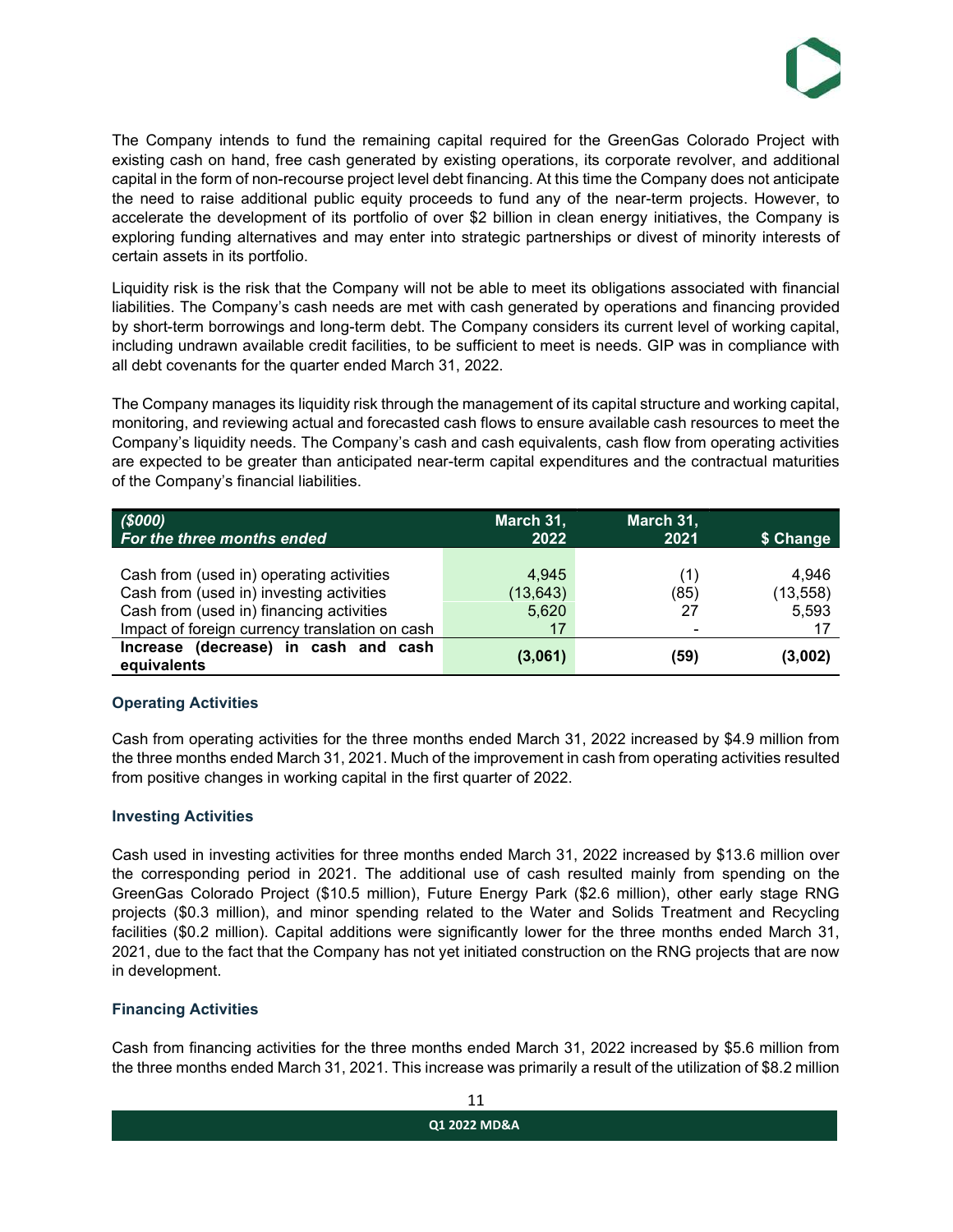

The Company intends to fund the remaining capital required for the GreenGas Colorado Project with existing cash on hand, free cash generated by existing operations, its corporate revolver, and additional capital in the form of non-recourse project level debt financing. At this time the Company does not anticipate the need to raise additional public equity proceeds to fund any of the near-term projects. However, to accelerate the development of its portfolio of over \$2 billion in clean energy initiatives, the Company is exploring funding alternatives and may enter into strategic partnerships or divest of minority interests of certain assets in its portfolio.

Liquidity risk is the risk that the Company will not be able to meet its obligations associated with financial liabilities. The Company's cash needs are met with cash generated by operations and financing provided by short-term borrowings and long-term debt. The Company considers its current level of working capital, including undrawn available credit facilities, to be sufficient to meet is needs. GIP was in compliance with all debt covenants for the quarter ended March 31, 2022.

The Company manages its liquidity risk through the management of its capital structure and working capital, monitoring, and reviewing actual and forecasted cash flows to ensure available cash resources to meet the Company's liquidity needs. The Company's cash and cash equivalents, cash flow from operating activities are expected to be greater than anticipated near-term capital expenditures and the contractual maturities of the Company's financial liabilities.

| (\$000)<br>For the three months ended                                                                                                                                              | March 31,<br>2022                 | March 31,<br>2021 | \$ Change                         |
|------------------------------------------------------------------------------------------------------------------------------------------------------------------------------------|-----------------------------------|-------------------|-----------------------------------|
| Cash from (used in) operating activities<br>Cash from (used in) investing activities<br>Cash from (used in) financing activities<br>Impact of foreign currency translation on cash | 4.945<br>(13, 643)<br>5.620<br>17 | (1)<br>(85)<br>27 | 4.946<br>(13, 558)<br>5,593<br>17 |
| Increase (decrease) in cash and cash<br>equivalents                                                                                                                                | (3,061)                           | (59)              | (3,002)                           |

# Operating Activities

Cash from operating activities for the three months ended March 31, 2022 increased by \$4.9 million from the three months ended March 31, 2021. Much of the improvement in cash from operating activities resulted from positive changes in working capital in the first quarter of 2022.

#### Investing Activities

Cash used in investing activities for three months ended March 31, 2022 increased by \$13.6 million over the corresponding period in 2021. The additional use of cash resulted mainly from spending on the GreenGas Colorado Project (\$10.5 million), Future Energy Park (\$2.6 million), other early stage RNG projects (\$0.3 million), and minor spending related to the Water and Solids Treatment and Recycling facilities (\$0.2 million). Capital additions were significantly lower for the three months ended March 31, 2021, due to the fact that the Company has not yet initiated construction on the RNG projects that are now in development.

#### Financing Activities

Cash from financing activities for the three months ended March 31, 2022 increased by \$5.6 million from the three months ended March 31, 2021. This increase was primarily a result of the utilization of \$8.2 million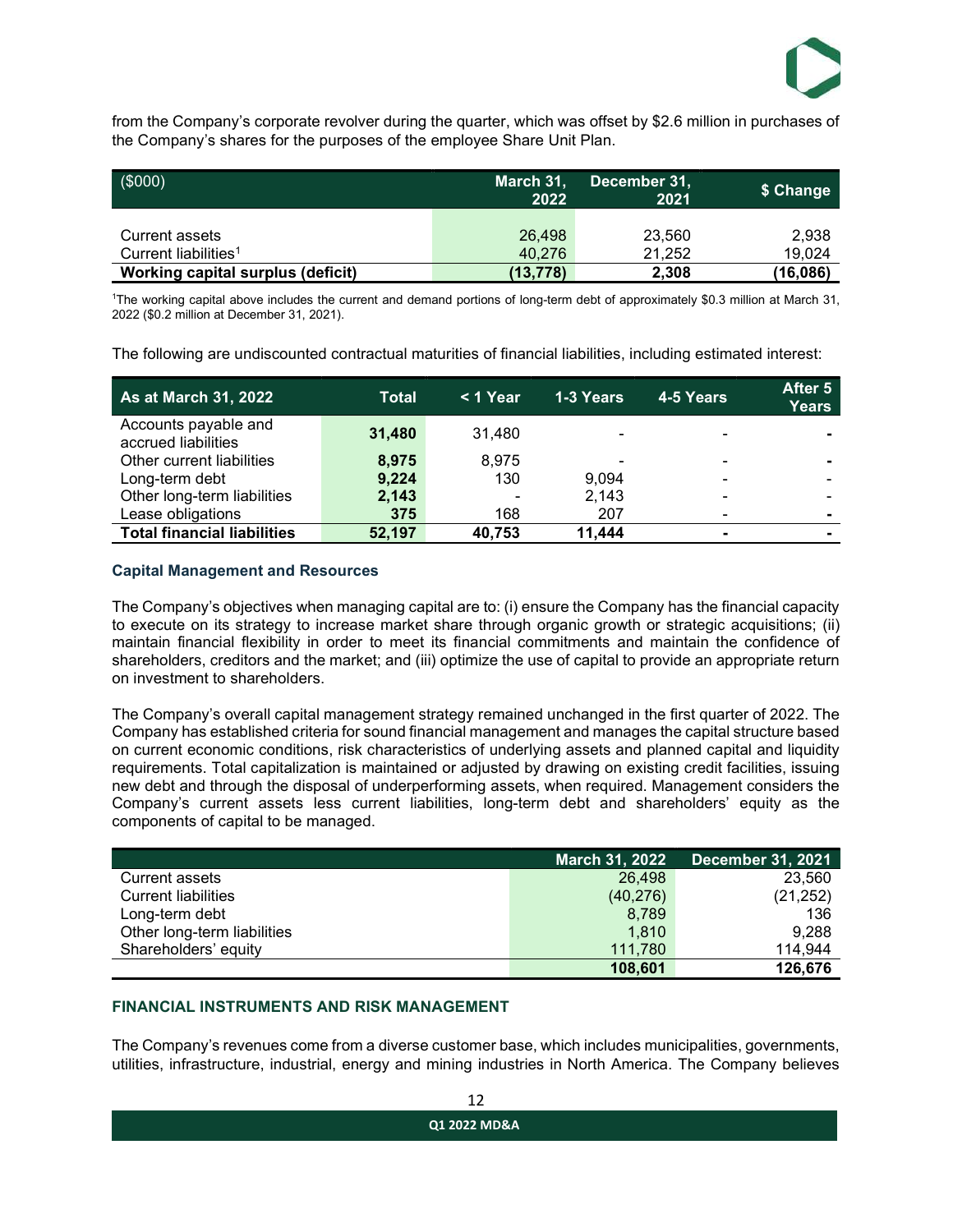

from the Company's corporate revolver during the quarter, which was offset by \$2.6 million in purchases of the Company's shares for the purposes of the employee Share Unit Plan.

| (\$000)                           | March 31,<br>2022 | December 31,<br>2021 | \$ Change |
|-----------------------------------|-------------------|----------------------|-----------|
|                                   |                   |                      |           |
| Current assets                    | 26.498            | 23.560               | 2,938     |
| Current liabilities <sup>1</sup>  | 40.276            | 21.252               | 19.024    |
| Working capital surplus (deficit) | (13,778)          | 2.308                | (16,086)  |

<sup>1</sup>The working capital above includes the current and demand portions of long-term debt of approximately \$0.3 million at March 31, 2022 (\$0.2 million at December 31, 2021).

The following are undiscounted contractual maturities of financial liabilities, including estimated interest:

| <b>As at March 31, 2022</b>                 | Total  | < 1 Year                 | 1-3 Years | 4-5 Years | After 5<br><b>Years</b> |
|---------------------------------------------|--------|--------------------------|-----------|-----------|-------------------------|
| Accounts payable and<br>accrued liabilities | 31,480 | 31.480                   |           |           |                         |
| Other current liabilities                   | 8,975  | 8,975                    | -         | -         |                         |
| Long-term debt                              | 9,224  | 130                      | 9.094     |           |                         |
| Other long-term liabilities                 | 2,143  | $\overline{\phantom{0}}$ | 2,143     | -         | -                       |
| Lease obligations                           | 375    | 168                      | 207       |           |                         |
| <b>Total financial liabilities</b>          | 52,197 | 40,753                   | 11,444    |           |                         |

#### Capital Management and Resources

The Company's objectives when managing capital are to: (i) ensure the Company has the financial capacity to execute on its strategy to increase market share through organic growth or strategic acquisitions; (ii) maintain financial flexibility in order to meet its financial commitments and maintain the confidence of shareholders, creditors and the market; and (iii) optimize the use of capital to provide an appropriate return on investment to shareholders.

The Company's overall capital management strategy remained unchanged in the first quarter of 2022. The Company has established criteria for sound financial management and manages the capital structure based on current economic conditions, risk characteristics of underlying assets and planned capital and liquidity requirements. Total capitalization is maintained or adjusted by drawing on existing credit facilities, issuing new debt and through the disposal of underperforming assets, when required. Management considers the Company's current assets less current liabilities, long-term debt and shareholders' equity as the components of capital to be managed.

|                             | <b>March 31, 2022</b> | <b>December 31, 2021</b> |
|-----------------------------|-----------------------|--------------------------|
| <b>Current assets</b>       | 26.498                | 23,560                   |
| <b>Current liabilities</b>  | (40, 276)             | (21, 252)                |
| Long-term debt              | 8,789                 | 136                      |
| Other long-term liabilities | 1.810                 | 9,288                    |
| Shareholders' equity        | 111.780               | 114,944                  |
|                             | 108,601               | 126,676                  |

# FINANCIAL INSTRUMENTS AND RISK MANAGEMENT

The Company's revenues come from a diverse customer base, which includes municipalities, governments, utilities, infrastructure, industrial, energy and mining industries in North America. The Company believes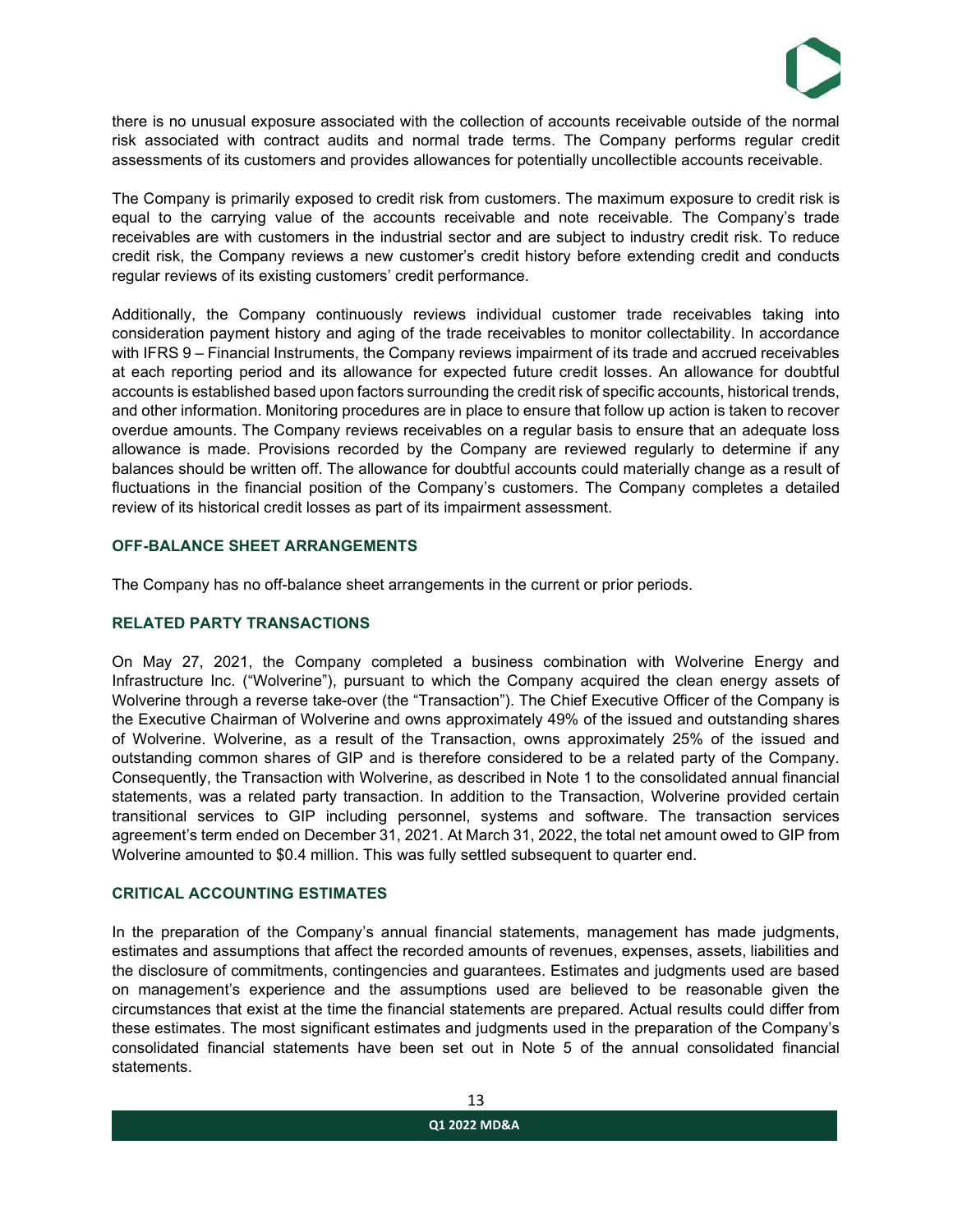

there is no unusual exposure associated with the collection of accounts receivable outside of the normal risk associated with contract audits and normal trade terms. The Company performs regular credit assessments of its customers and provides allowances for potentially uncollectible accounts receivable.

The Company is primarily exposed to credit risk from customers. The maximum exposure to credit risk is equal to the carrying value of the accounts receivable and note receivable. The Company's trade receivables are with customers in the industrial sector and are subject to industry credit risk. To reduce credit risk, the Company reviews a new customer's credit history before extending credit and conducts regular reviews of its existing customers' credit performance.

Additionally, the Company continuously reviews individual customer trade receivables taking into consideration payment history and aging of the trade receivables to monitor collectability. In accordance with IFRS 9 – Financial Instruments, the Company reviews impairment of its trade and accrued receivables at each reporting period and its allowance for expected future credit losses. An allowance for doubtful accounts is established based upon factors surrounding the credit risk of specific accounts, historical trends, and other information. Monitoring procedures are in place to ensure that follow up action is taken to recover overdue amounts. The Company reviews receivables on a regular basis to ensure that an adequate loss allowance is made. Provisions recorded by the Company are reviewed regularly to determine if any balances should be written off. The allowance for doubtful accounts could materially change as a result of fluctuations in the financial position of the Company's customers. The Company completes a detailed review of its historical credit losses as part of its impairment assessment.

#### OFF-BALANCE SHEET ARRANGEMENTS

The Company has no off-balance sheet arrangements in the current or prior periods.

# RELATED PARTY TRANSACTIONS

On May 27, 2021, the Company completed a business combination with Wolverine Energy and Infrastructure Inc. ("Wolverine"), pursuant to which the Company acquired the clean energy assets of Wolverine through a reverse take-over (the "Transaction"). The Chief Executive Officer of the Company is the Executive Chairman of Wolverine and owns approximately 49% of the issued and outstanding shares of Wolverine. Wolverine, as a result of the Transaction, owns approximately 25% of the issued and outstanding common shares of GIP and is therefore considered to be a related party of the Company. Consequently, the Transaction with Wolverine, as described in Note 1 to the consolidated annual financial statements, was a related party transaction. In addition to the Transaction, Wolverine provided certain transitional services to GIP including personnel, systems and software. The transaction services agreement's term ended on December 31, 2021. At March 31, 2022, the total net amount owed to GIP from Wolverine amounted to \$0.4 million. This was fully settled subsequent to quarter end.

# CRITICAL ACCOUNTING ESTIMATES

In the preparation of the Company's annual financial statements, management has made judgments, estimates and assumptions that affect the recorded amounts of revenues, expenses, assets, liabilities and the disclosure of commitments, contingencies and guarantees. Estimates and judgments used are based on management's experience and the assumptions used are believed to be reasonable given the circumstances that exist at the time the financial statements are prepared. Actual results could differ from these estimates. The most significant estimates and judgments used in the preparation of the Company's consolidated financial statements have been set out in Note 5 of the annual consolidated financial statements.